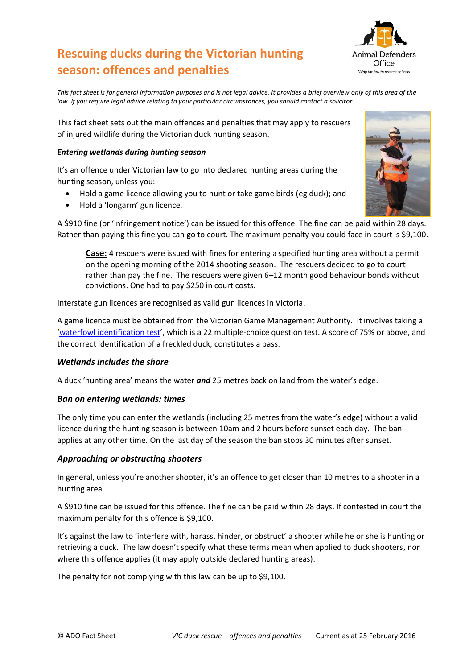# **Rescuing ducks during the Victorian hunting season: offences and penalties**



*This fact sheet is for general information purposes and is not legal advice. It provides a brief overview only of this area of the law. If you require legal advice relating to your particular circumstances, you should contact a solicitor.*

This fact sheet sets out the main offences and penalties that may apply to rescuers of injured wildlife during the Victorian duck hunting season.

# *Entering wetlands during hunting season*

It's an offence under Victorian law to go into declared hunting areas during the hunting season, unless you:

- Hold a game licence allowing you to hunt or take game birds (eg duck); and
- Hold a 'longarm' gun licence.

A \$910 fine (or 'infringement notice') can be issued for this offence. The fine can be paid within 28 days. Rather than paying this fine you can go to court. The maximum penalty you could face in court is \$9,100.

**Case:** 4 rescuers were issued with fines for entering a specified hunting area without a permit on the opening morning of the 2014 shooting season. The rescuers decided to go to court rather than pay the fine. The rescuers were given 6–12 month good behaviour bonds without convictions. One had to pay \$250 in court costs.

Interstate gun licences are recognised as valid gun licences in Victoria.

A game licence must be obtained from the Victorian Game Management Authority. It involves taking a '[waterfowl identification test](http://www.gma.vic.gov.au/licensing/apply-for-a-game-licence/waterfowl-identification-test)', which is a 22 multiple-choice question test. A score of 75% or above, and the correct identification of a freckled duck, constitutes a pass.

## *Wetlands includes the shore*

A duck 'hunting area' means the water *and* 25 metres back on land from the water's edge.

# *Ban on entering wetlands: times*

The only time you can enter the wetlands (including 25 metres from the water's edge) without a valid licence during the hunting season is between 10am and 2 hours before sunset each day. The ban applies at any other time. On the last day of the season the ban stops 30 minutes after sunset.

## *Approaching or obstructing shooters*

In general, unless you're another shooter, it's an offence to get closer than 10 metres to a shooter in a hunting area.

A \$910 fine can be issued for this offence. The fine can be paid within 28 days. If contested in court the maximum penalty for this offence is \$9,100.

It's against the law to 'interfere with, harass, hinder, or obstruct' a shooter while he or she is hunting or retrieving a duck. The law doesn't specify what these terms mean when applied to duck shooters, nor where this offence applies (it may apply outside declared hunting areas).

The penalty for not complying with this law can be up to \$9,100.